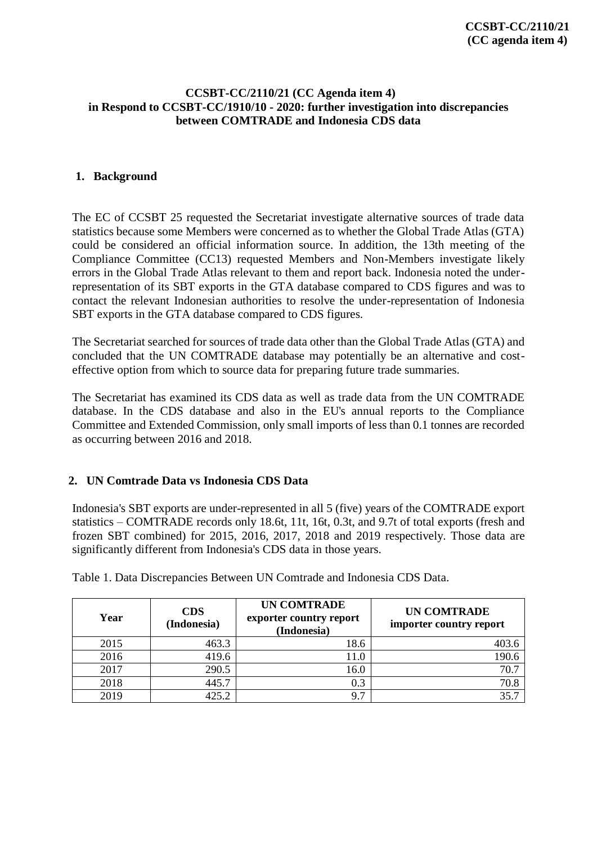## **CCSBT-CC/2110/21 (CC Agenda item 4) in Respond to CCSBT-CC/1910/10 - 2020: further investigation into discrepancies between COMTRADE and Indonesia CDS data**

## **1. Background**

The EC of CCSBT 25 requested the Secretariat investigate alternative sources of trade data statistics because some Members were concerned as to whether the Global Trade Atlas (GTA) could be considered an official information source. In addition, the 13th meeting of the Compliance Committee (CC13) requested Members and Non-Members investigate likely errors in the Global Trade Atlas relevant to them and report back. Indonesia noted the underrepresentation of its SBT exports in the GTA database compared to CDS figures and was to contact the relevant Indonesian authorities to resolve the under-representation of Indonesia SBT exports in the GTA database compared to CDS figures.

The Secretariat searched for sources of trade data other than the Global Trade Atlas (GTA) and concluded that the UN COMTRADE database may potentially be an alternative and costeffective option from which to source data for preparing future trade summaries.

The Secretariat has examined its CDS data as well as trade data from the UN COMTRADE database. In the CDS database and also in the EU's annual reports to the Compliance Committee and Extended Commission, only small imports of less than 0.1 tonnes are recorded as occurring between 2016 and 2018.

# **2. UN Comtrade Data vs Indonesia CDS Data**

Indonesia's SBT exports are under-represented in all 5 (five) years of the COMTRADE export statistics – COMTRADE records only 18.6t, 11t, 16t, 0.3t, and 9.7t of total exports (fresh and frozen SBT combined) for 2015, 2016, 2017, 2018 and 2019 respectively. Those data are significantly different from Indonesia's CDS data in those years.

| Year | <b>CDS</b><br>(Indonesia) | <b>UN COMTRADE</b><br>exporter country report<br>(Indonesia) | <b>UN COMTRADE</b><br>importer country report |
|------|---------------------------|--------------------------------------------------------------|-----------------------------------------------|
| 2015 | 463.3                     | 18.6                                                         | 403.6                                         |
| 2016 | 419.6                     | 11.0                                                         | 190.6                                         |
| 2017 | 290.5                     | 16.0                                                         | 70.7                                          |
| 2018 | 445.7                     | 0.3                                                          | 70.8                                          |
| 2019 | 425.2                     | $\mathbf{\tau}$<br>9.                                        | 35.7                                          |

Table 1. Data Discrepancies Between UN Comtrade and Indonesia CDS Data.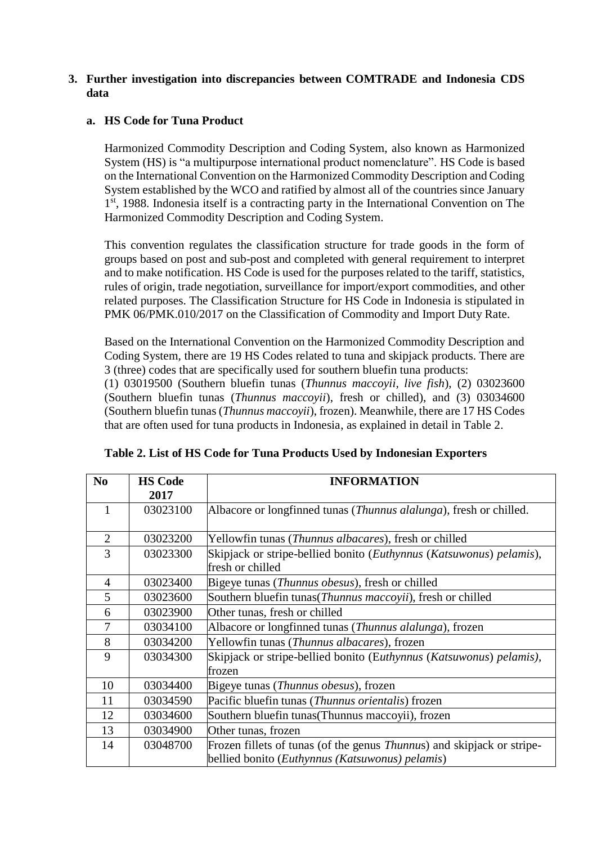## **3. Further investigation into discrepancies between COMTRADE and Indonesia CDS data**

## **a. HS Code for Tuna Product**

Harmonized Commodity Description and Coding System, also known as Harmonized System (HS) is "a multipurpose international product nomenclature". HS Code is based on the International Convention on the Harmonized Commodity Description and Coding System established by the WCO and ratified by almost all of the countries since January 1<sup>st</sup>, 1988. Indonesia itself is a contracting party in the International Convention on The Harmonized Commodity Description and Coding System.

This convention regulates the classification structure for trade goods in the form of groups based on post and sub-post and completed with general requirement to interpret and to make notification. HS Code is used for the purposes related to the tariff, statistics, rules of origin, trade negotiation, surveillance for import/export commodities, and other related purposes. The Classification Structure for HS Code in Indonesia is stipulated in PMK 06/PMK.010/2017 on the Classification of Commodity and Import Duty Rate.

Based on the International Convention on the Harmonized Commodity Description and Coding System, there are 19 HS Codes related to tuna and skipjack products. There are 3 (three) codes that are specifically used for southern bluefin tuna products:

(1) 03019500 (Southern bluefin tunas (*Thunnus maccoyii, live fish*), (2) 03023600 (Southern bluefin tunas (*Thunnus maccoyii*), fresh or chilled), and (3) 03034600 (Southern bluefin tunas (*Thunnus maccoyii*), frozen). Meanwhile, there are 17 HS Codes that are often used for tuna products in Indonesia, as explained in detail in Table 2.

| N <sub>0</sub> | <b>HS Code</b> | <b>INFORMATION</b>                                                                   |
|----------------|----------------|--------------------------------------------------------------------------------------|
|                | 2017           |                                                                                      |
| 1              | 03023100       | Albacore or longfinned tunas (Thunnus alalunga), fresh or chilled.                   |
|                |                |                                                                                      |
| $\overline{2}$ | 03023200       | Yellowfin tunas (Thunnus albacares), fresh or chilled                                |
| 3              | 03023300       | Skipjack or stripe-bellied bonito ( <i>Euthynnus</i> ( <i>Katsuwonus</i> ) pelamis), |
|                |                | fresh or chilled                                                                     |
| $\overline{4}$ | 03023400       | Bigeye tunas ( <i>Thunnus obesus</i> ), fresh or chilled                             |
| 5              | 03023600       | Southern bluefin tunas (Thunnus maccovii), fresh or chilled                          |
| 6              | 03023900       | Other tunas, fresh or chilled                                                        |
| 7              | 03034100       | Albacore or longfinned tunas ( <i>Thunnus alalunga</i> ), frozen                     |
| 8              | 03034200       | Yellowfin tunas (Thunnus albacares), frozen                                          |
| 9              | 03034300       | Skipjack or stripe-bellied bonito (Euthynnus (Katsuwonus) pelamis),                  |
|                |                | frozen                                                                               |
| 10             | 03034400       | Bigeye tunas ( <i>Thunnus obesus</i> ), frozen                                       |
| 11             | 03034590       | Pacific bluefin tunas (Thunnus orientalis) frozen                                    |
| 12             | 03034600       | Southern bluefin tunas (Thunnus maccoyii), frozen                                    |
| 13             | 03034900       | Other tunas, frozen                                                                  |
| 14             | 03048700       | Frozen fillets of tunas (of the genus <i>Thunnus</i> ) and skipjack or stripe-       |
|                |                | bellied bonito (Euthynnus (Katsuwonus) pelamis)                                      |

**Table 2. List of HS Code for Tuna Products Used by Indonesian Exporters**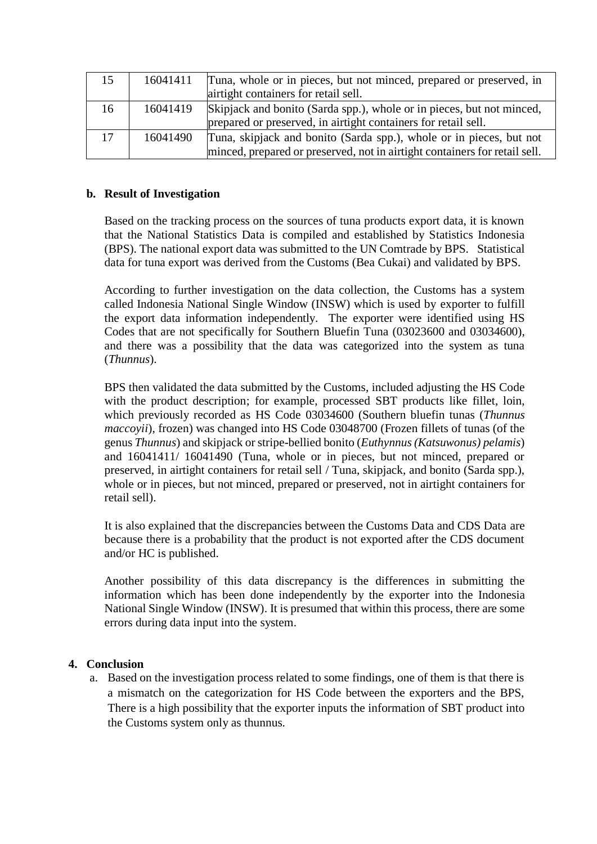| 15 | 16041411 | Tuna, whole or in pieces, but not minced, prepared or preserved, in<br>airtight containers for retail sell. |  |
|----|----------|-------------------------------------------------------------------------------------------------------------|--|
| 16 | 16041419 | Skipjack and bonito (Sarda spp.), whole or in pieces, but not minced,                                       |  |
|    |          | prepared or preserved, in airtight containers for retail sell.                                              |  |
| 17 | 16041490 | Tuna, skipjack and bonito (Sarda spp.), whole or in pieces, but not                                         |  |
|    |          | minced, prepared or preserved, not in airtight containers for retail sell.                                  |  |

### **b. Result of Investigation**

Based on the tracking process on the sources of tuna products export data, it is known that the National Statistics Data is compiled and established by Statistics Indonesia (BPS). The national export data was submitted to the UN Comtrade by BPS. Statistical data for tuna export was derived from the Customs (Bea Cukai) and validated by BPS.

According to further investigation on the data collection, the Customs has a system called Indonesia National Single Window (INSW) which is used by exporter to fulfill the export data information independently. The exporter were identified using HS Codes that are not specifically for Southern Bluefin Tuna (03023600 and 03034600), and there was a possibility that the data was categorized into the system as tuna (*Thunnus*).

BPS then validated the data submitted by the Customs, included adjusting the HS Code with the product description; for example, processed SBT products like fillet, loin, which previously recorded as HS Code 03034600 (Southern bluefin tunas (*Thunnus maccoyii*), frozen) was changed into HS Code 03048700 (Frozen fillets of tunas (of the genus *Thunnus*) and skipjack or stripe-bellied bonito (*Euthynnus (Katsuwonus) pelamis*) and 16041411/ 16041490 (Tuna, whole or in pieces, but not minced, prepared or preserved, in airtight containers for retail sell / Tuna, skipjack, and bonito (Sarda spp.), whole or in pieces, but not minced, prepared or preserved, not in airtight containers for retail sell).

It is also explained that the discrepancies between the Customs Data and CDS Data are because there is a probability that the product is not exported after the CDS document and/or HC is published.

Another possibility of this data discrepancy is the differences in submitting the information which has been done independently by the exporter into the Indonesia National Single Window (INSW). It is presumed that within this process, there are some errors during data input into the system.

#### **4. Conclusion**

a. Based on the investigation process related to some findings, one of them is that there is a mismatch on the categorization for HS Code between the exporters and the BPS, There is a high possibility that the exporter inputs the information of SBT product into the Customs system only as thunnus.